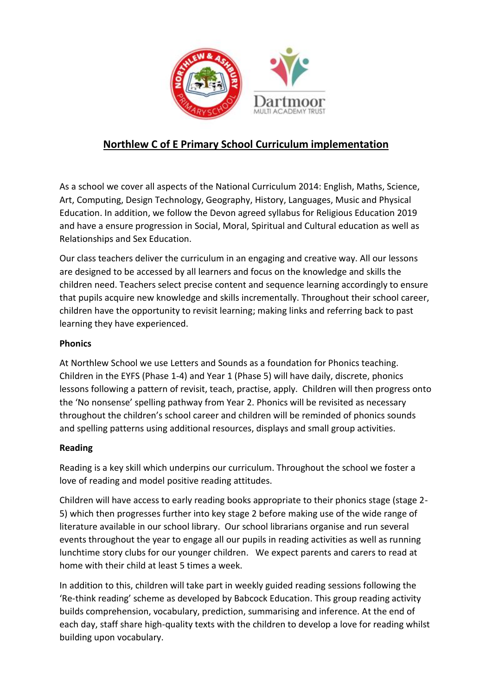

# **Northlew C of E Primary School Curriculum implementation**

As a school we cover all aspects of the National Curriculum 2014: English, Maths, Science, Art, Computing, Design Technology, Geography, History, Languages, Music and Physical Education. In addition, we follow the Devon agreed syllabus for Religious Education 2019 and have a ensure progression in Social, Moral, Spiritual and Cultural education as well as Relationships and Sex Education.

Our class teachers deliver the curriculum in an engaging and creative way. All our lessons are designed to be accessed by all learners and focus on the knowledge and skills the children need. Teachers select precise content and sequence learning accordingly to ensure that pupils acquire new knowledge and skills incrementally. Throughout their school career, children have the opportunity to revisit learning; making links and referring back to past learning they have experienced.

#### **Phonics**

At Northlew School we use Letters and Sounds as a foundation for Phonics teaching. Children in the EYFS (Phase 1-4) and Year 1 (Phase 5) will have daily, discrete, phonics lessons following a pattern of revisit, teach, practise, apply. Children will then progress onto the 'No nonsense' spelling pathway from Year 2. Phonics will be revisited as necessary throughout the children's school career and children will be reminded of phonics sounds and spelling patterns using additional resources, displays and small group activities.

# **Reading**

Reading is a key skill which underpins our curriculum. Throughout the school we foster a love of reading and model positive reading attitudes.

Children will have access to early reading books appropriate to their phonics stage (stage 2- 5) which then progresses further into key stage 2 before making use of the wide range of literature available in our school library. Our school librarians organise and run several events throughout the year to engage all our pupils in reading activities as well as running lunchtime story clubs for our younger children. We expect parents and carers to read at home with their child at least 5 times a week.

In addition to this, children will take part in weekly guided reading sessions following the 'Re-think reading' scheme as developed by Babcock Education. This group reading activity builds comprehension, vocabulary, prediction, summarising and inference. At the end of each day, staff share high-quality texts with the children to develop a love for reading whilst building upon vocabulary.